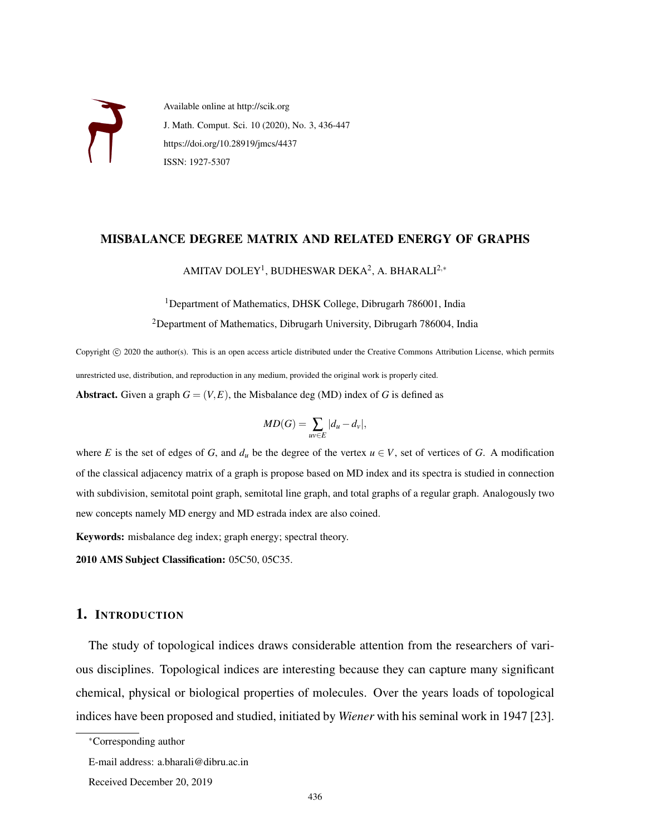

Available online at http://scik.org J. Math. Comput. Sci. 10 (2020), No. 3, 436-447 https://doi.org/10.28919/jmcs/4437 ISSN: 1927-5307

#### MISBALANCE DEGREE MATRIX AND RELATED ENERGY OF GRAPHS

AMITAV DOLEY<sup>1</sup>, BUDHESWAR DEKA<sup>2</sup>, A. BHARALI<sup>2,∗</sup>

<sup>1</sup>Department of Mathematics, DHSK College, Dibrugarh 786001, India

<sup>2</sup>Department of Mathematics, Dibrugarh University, Dibrugarh 786004, India

Copyright © 2020 the author(s). This is an open access article distributed under the Creative Commons Attribution License, which permits unrestricted use, distribution, and reproduction in any medium, provided the original work is properly cited. **Abstract.** Given a graph  $G = (V, E)$ , the Misbalance deg (MD) index of G is defined as

$$
MD(G) = \sum_{uv \in E} |d_u - d_v|,
$$

where *E* is the set of edges of *G*, and  $d_u$  be the degree of the vertex  $u \in V$ , set of vertices of *G*. A modification of the classical adjacency matrix of a graph is propose based on MD index and its spectra is studied in connection with subdivision, semitotal point graph, semitotal line graph, and total graphs of a regular graph. Analogously two new concepts namely MD energy and MD estrada index are also coined.

Keywords: misbalance deg index; graph energy; spectral theory.

2010 AMS Subject Classification: 05C50, 05C35.

## 1. INTRODUCTION

The study of topological indices draws considerable attention from the researchers of various disciplines. Topological indices are interesting because they can capture many significant chemical, physical or biological properties of molecules. Over the years loads of topological indices have been proposed and studied, initiated by *Wiener* with his seminal work in 1947 [23].

<sup>∗</sup>Corresponding author

E-mail address: a.bharali@dibru.ac.in

Received December 20, 2019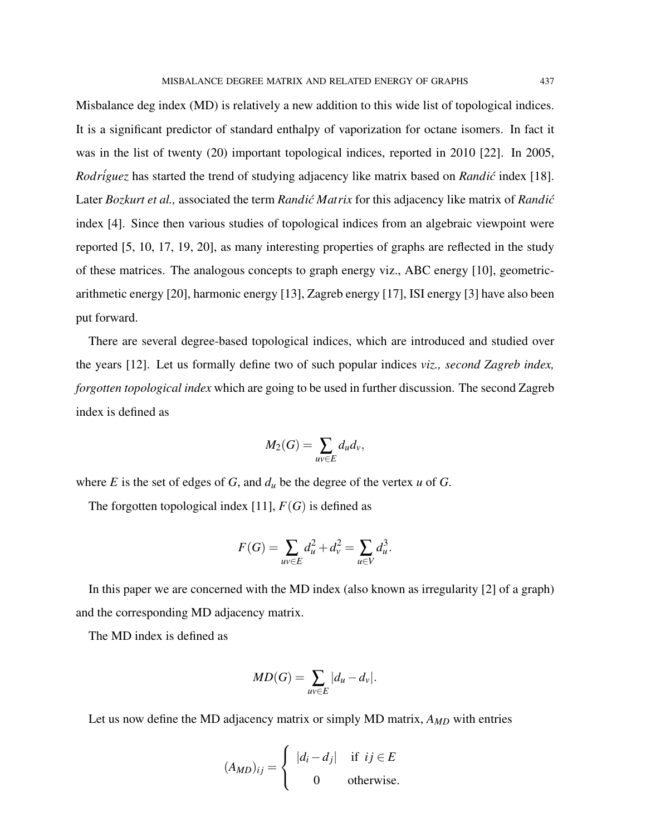Misbalance deg index (MD) is relatively a new addition to this wide list of topological indices. It is a significant predictor of standard enthalpy of vaporization for octane isomers. In fact it was in the list of twenty (20) important topological indices, reported in 2010 [22]. In 2005, *Rodr*<sup>*iguez* has started the trend of studying adjacency like matrix based on *Randic* index [18].</sup> Later *Bozkurt et al.*, associated the term *Randić Matrix* for this adjacency like matrix of *Randić* index [4]. Since then various studies of topological indices from an algebraic viewpoint were reported [5, 10, 17, 19, 20], as many interesting properties of graphs are reflected in the study of these matrices. The analogous concepts to graph energy viz., ABC energy [10], geometricarithmetic energy [20], harmonic energy [13], Zagreb energy [17], ISI energy [3] have also been put forward.

There are several degree-based topological indices, which are introduced and studied over the years [12]. Let us formally define two of such popular indices *viz., second Zagreb index, forgotten topological index* which are going to be used in further discussion. The second Zagreb index is defined as

$$
M_2(G) = \sum_{uv \in E} d_u d_v,
$$

where *E* is the set of edges of *G*, and  $d<sub>u</sub>$  be the degree of the vertex *u* of *G*.

The forgotten topological index [11],  $F(G)$  is defined as

$$
F(G) = \sum_{uv \in E} d_u^2 + d_v^2 = \sum_{u \in V} d_u^3.
$$

In this paper we are concerned with the MD index (also known as irregularity [2] of a graph) and the corresponding MD adjacency matrix.

The MD index is defined as

$$
MD(G) = \sum_{uv \in E} |d_u - d_v|.
$$

Let us now define the MD adjacency matrix or simply MD matrix, *AMD* with entries

$$
(A_{MD})_{ij} = \begin{cases} |d_i - d_j| & \text{if } ij \in E \\ 0 & \text{otherwise.} \end{cases}
$$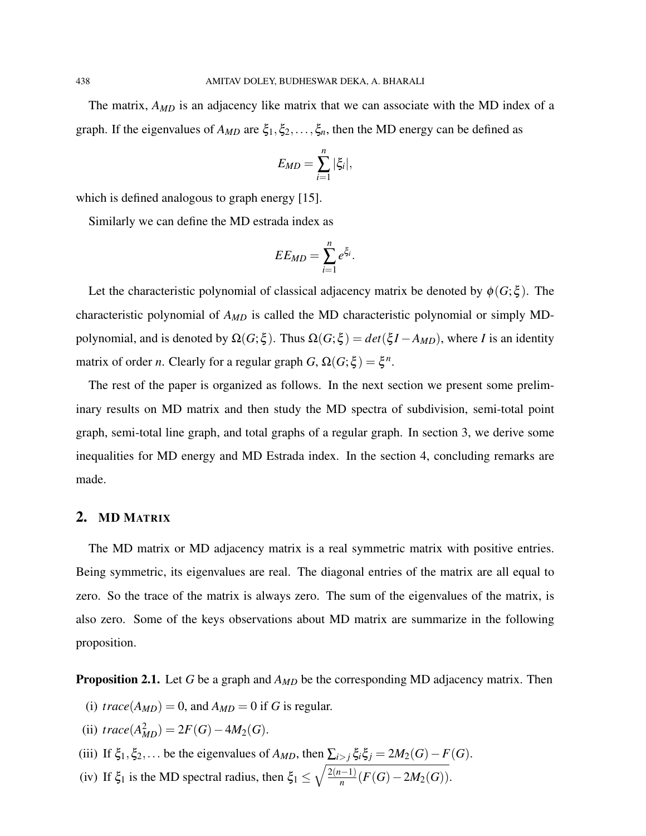The matrix, *AMD* is an adjacency like matrix that we can associate with the MD index of a graph. If the eigenvalues of  $A_{MD}$  are  $\xi_1, \xi_2, \ldots, \xi_n$ , then the MD energy can be defined as

$$
E_{MD}=\sum_{i=1}^n|\xi_i|,
$$

which is defined analogous to graph energy [15].

Similarly we can define the MD estrada index as

$$
EE_{MD}=\sum_{i=1}^n e^{\xi_i}.
$$

Let the characteristic polynomial of classical adjacency matrix be denoted by  $\phi(G;\xi)$ . The characteristic polynomial of *AMD* is called the MD characteristic polynomial or simply MDpolynomial, and is denoted by  $\Omega(G; \xi)$ . Thus  $\Omega(G; \xi) = det(\xi I - A_{MD})$ , where *I* is an identity matrix of order *n*. Clearly for a regular graph  $G$ ,  $\Omega(G;\xi) = \xi^n$ .

The rest of the paper is organized as follows. In the next section we present some preliminary results on MD matrix and then study the MD spectra of subdivision, semi-total point graph, semi-total line graph, and total graphs of a regular graph. In section 3, we derive some inequalities for MD energy and MD Estrada index. In the section 4, concluding remarks are made.

# 2. MD MATRIX

The MD matrix or MD adjacency matrix is a real symmetric matrix with positive entries. Being symmetric, its eigenvalues are real. The diagonal entries of the matrix are all equal to zero. So the trace of the matrix is always zero. The sum of the eigenvalues of the matrix, is also zero. Some of the keys observations about MD matrix are summarize in the following proposition.

Proposition 2.1. Let *G* be a graph and *AMD* be the corresponding MD adjacency matrix. Then

- (i) *trace*( $A_{MD}$ ) = 0, and  $A_{MD}$  = 0 if *G* is regular.
- (ii)  $trace(A_{MD}^2) = 2F(G) 4M_2(G)$ .
- (iii) If  $\xi_1, \xi_2, \ldots$  be the eigenvalues of  $A_{MD}$ , then  $\sum_{i > j} \xi_i \xi_j = 2M_2(G) F(G)$ .
- (iv) If  $\xi_1$  is the MD spectral radius, then  $\xi_1 \leq \sqrt{\frac{2(n-1)}{n}}$  $\frac{n^{(n-1)}}{n}$  (*F*(*G*)−2*M*<sub>2</sub>(*G*)).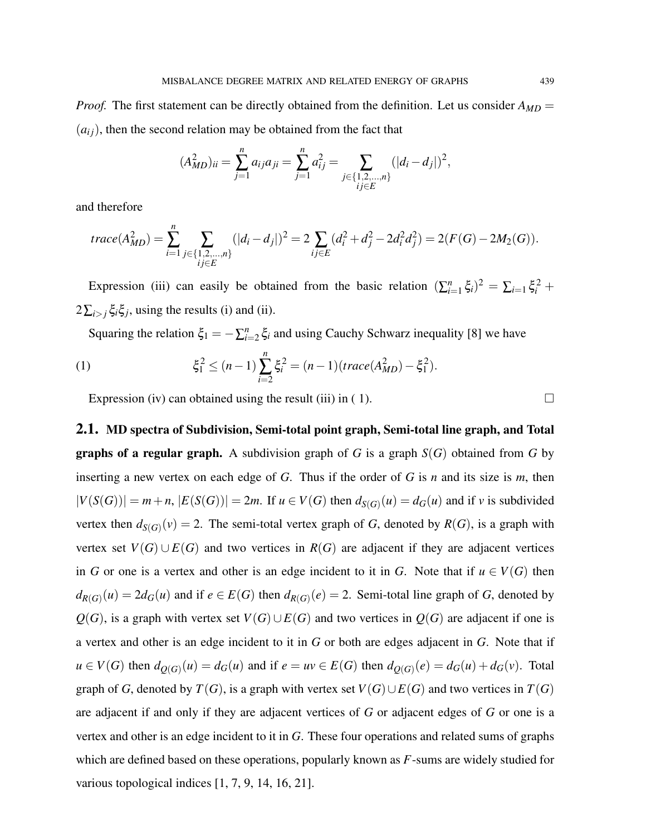*Proof.* The first statement can be directly obtained from the definition. Let us consider  $A_{MD}$  =  $(a_{ij})$ , then the second relation may be obtained from the fact that

$$
(A_{MD}^2)_{ii} = \sum_{j=1}^n a_{ij} a_{ji} = \sum_{j=1}^n a_{ij}^2 = \sum_{\substack{j \in \{1, 2, \dots, n\} \\ i_j \in E}} (|d_i - d_j|)^2,
$$

and therefore

$$
trace(A_{MD}^2) = \sum_{i=1}^n \sum_{\substack{j \in \{1,2,\ldots,n\} \\ i_j \in E}} (|d_i - d_j|)^2 = 2 \sum_{ij \in E} (d_i^2 + d_j^2 - 2d_i^2 d_j^2) = 2(F(G) - 2M_2(G)).
$$

Expression (iii) can easily be obtained from the basic relation  $(\sum_{i=1}^{n} \xi_i)^2 = \sum_{i=1} \xi_i^2 +$  $2\sum_{i>j}\xi_i\xi_j$ , using the results (i) and (ii).

Squaring the relation  $\xi_1 = -\sum_{i=2}^n \xi_i$  and using Cauchy Schwarz inequality [8] we have

(1) 
$$
\xi_1^2 \le (n-1) \sum_{i=2}^n \xi_i^2 = (n-1)(trace(A_{MD}^2) - \xi_1^2).
$$

Expression (iv) can obtained using the result (iii) in ( 1).

2.1. MD spectra of Subdivision, Semi-total point graph, Semi-total line graph, and Total **graphs of a regular graph.** A subdivision graph of *G* is a graph  $S(G)$  obtained from *G* by inserting a new vertex on each edge of *G*. Thus if the order of *G* is *n* and its size is *m*, then  $|V(S(G))| = m+n$ ,  $|E(S(G))| = 2m$ . If  $u \in V(G)$  then  $d_{S(G)}(u) = d_G(u)$  and if v is subdivided vertex then  $d_{S(G)}(v) = 2$ . The semi-total vertex graph of *G*, denoted by  $R(G)$ , is a graph with vertex set  $V(G) \cup E(G)$  and two vertices in  $R(G)$  are adjacent if they are adjacent vertices in *G* or one is a vertex and other is an edge incident to it in *G*. Note that if  $u \in V(G)$  then  $d_{R(G)}(u) = 2d_G(u)$  and if  $e \in E(G)$  then  $d_{R(G)}(e) = 2$ . Semi-total line graph of *G*, denoted by  $Q(G)$ , is a graph with vertex set  $V(G) \cup E(G)$  and two vertices in  $Q(G)$  are adjacent if one is a vertex and other is an edge incident to it in *G* or both are edges adjacent in *G*. Note that if  $u \in V(G)$  then  $d_{Q(G)}(u) = d_G(u)$  and if  $e = uv \in E(G)$  then  $d_{Q(G)}(e) = d_G(u) + d_G(v)$ . Total graph of *G*, denoted by  $T(G)$ , is a graph with vertex set  $V(G) \cup E(G)$  and two vertices in  $T(G)$ are adjacent if and only if they are adjacent vertices of *G* or adjacent edges of *G* or one is a vertex and other is an edge incident to it in *G*. These four operations and related sums of graphs which are defined based on these operations, popularly known as *F*-sums are widely studied for various topological indices [1, 7, 9, 14, 16, 21].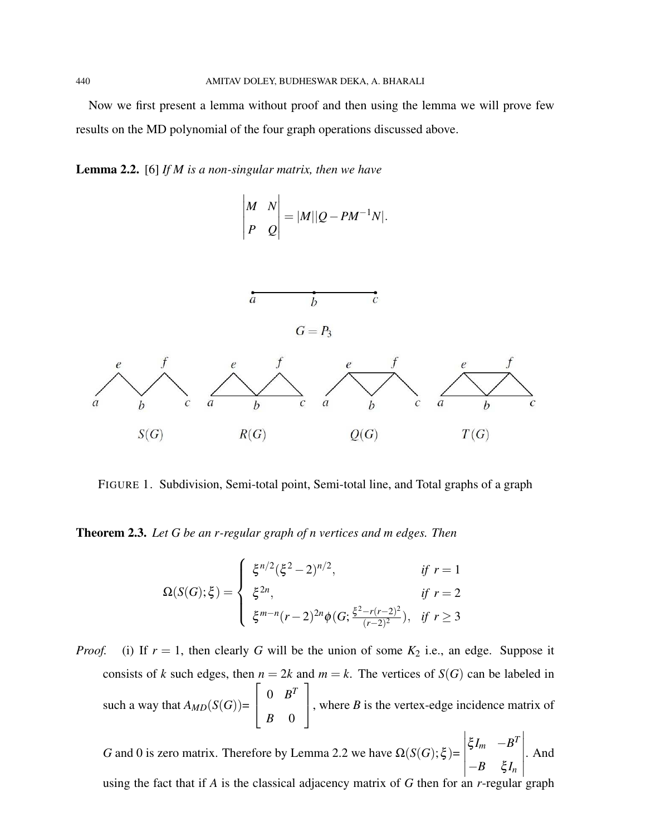Now we first present a lemma without proof and then using the lemma we will prove few results on the MD polynomial of the four graph operations discussed above.

Lemma 2.2. [6] *If M is a non-singular matrix, then we have*

$$
\begin{vmatrix} M & N \\ P & Q \end{vmatrix} = |M||Q - PM^{-1}N|.
$$



FIGURE 1. Subdivision, Semi-total point, Semi-total line, and Total graphs of a graph

Theorem 2.3. *Let G be an r-regular graph of n vertices and m edges. Then*

$$
\Omega(S(G); \xi) = \begin{cases} \xi^{n/2} (\xi^2 - 2)^{n/2}, & \text{if } r = 1 \\ \xi^{2n}, & \text{if } r = 2 \\ \xi^{m-n} (r - 2)^{2n} \phi(G; \frac{\xi^2 - r(r - 2)^2}{(r - 2)^2}), & \text{if } r \ge 3 \end{cases}
$$

*Proof.* (i) If  $r = 1$ , then clearly *G* will be the union of some  $K_2$  i.e., an edge. Suppose it consists of *k* such edges, then  $n = 2k$  and  $m = k$ . The vertices of  $S(G)$  can be labeled in such a way that  $A_{MD}(S(G))$ =  $\sqrt{ }$  $\overline{\phantom{a}}$  $0 \quad B^T$ *B* 0 1 , where  $B$  is the vertex-edge incidence matrix of

*G* and 0 is zero matrix. Therefore by Lemma 2.2 we have  $\Omega(S(G); \xi)$ =  $\xi I_m$  −*B*<sup>*T*</sup>  $-B \xi I_n$  . And

using the fact that if *A* is the classical adjacency matrix of *G* then for an *r*-regular graph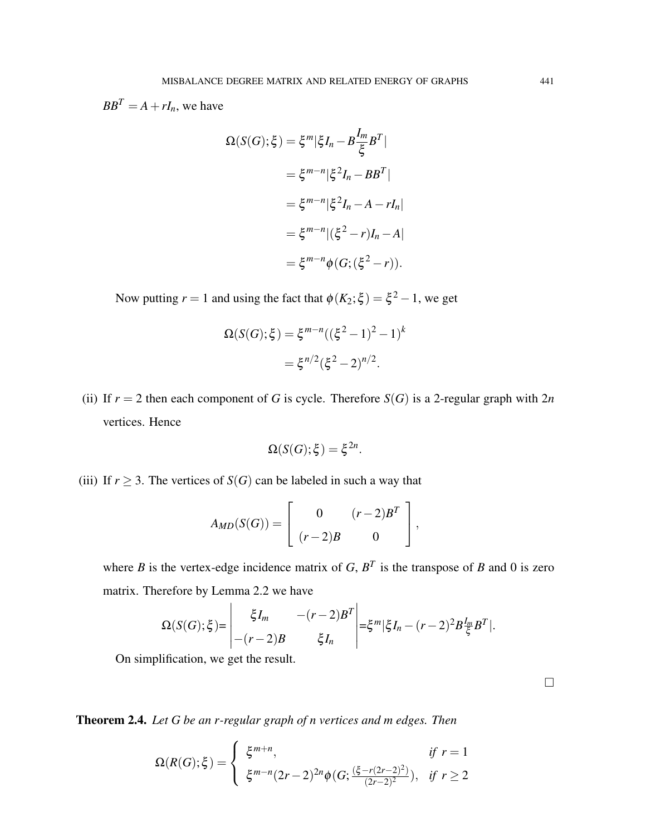$BB<sup>T</sup> = A + rI<sub>n</sub>$ , we have

$$
\Omega(S(G); \xi) = \xi^m |\xi I_n - B \frac{I_m}{\xi} B^T|
$$
  

$$
= \xi^{m-n} |\xi^2 I_n - BB^T|
$$
  

$$
= \xi^{m-n} |\xi^2 I_n - A - rI_n|
$$
  

$$
= \xi^{m-n} |(\xi^2 - r)I_n - A|
$$
  

$$
= \xi^{m-n} \phi(G; (\xi^2 - r)).
$$

Now putting  $r = 1$  and using the fact that  $\phi(K_2; \xi) = \xi^2 - 1$ , we get

$$
\Omega(S(G); \xi) = \xi^{m-n} ((\xi^2 - 1)^2 - 1)^k
$$
  
=  $\xi^{n/2} (\xi^2 - 2)^{n/2}$ .

(ii) If  $r = 2$  then each component of *G* is cycle. Therefore  $S(G)$  is a 2-regular graph with  $2n$ vertices. Hence

$$
\Omega(S(G); \xi) = \xi^{2n}.
$$

(iii) If  $r \geq 3$ . The vertices of *S*(*G*) can be labeled in such a way that

$$
A_{MD}(S(G)) = \left[ \begin{array}{cc} 0 & (r-2)B^T \\ (r-2)B & 0 \end{array} \right],
$$

where *B* is the vertex-edge incidence matrix of *G*,  $B<sup>T</sup>$  is the transpose of *B* and 0 is zero matrix. Therefore by Lemma 2.2 we have

$$
\Omega(S(G); \xi) = \begin{vmatrix} \xi I_m & -(r-2)B^T \\ -(r-2)B & \xi I_n \end{vmatrix} = \xi^m |\xi I_n - (r-2)^2 B \frac{I_m}{\xi} B^T|.
$$

On simplification, we get the result.

Theorem 2.4. *Let G be an r-regular graph of n vertices and m edges. Then*

$$
\Omega(R(G); \xi) = \begin{cases} \xi^{m+n}, & \text{if } r = 1 \\ \xi^{m-n} (2r-2)^{2n} \phi(G; \frac{(\xi - r(2r-2)^2)}{(2r-2)^2}), & \text{if } r \ge 2 \end{cases}
$$

 $\Box$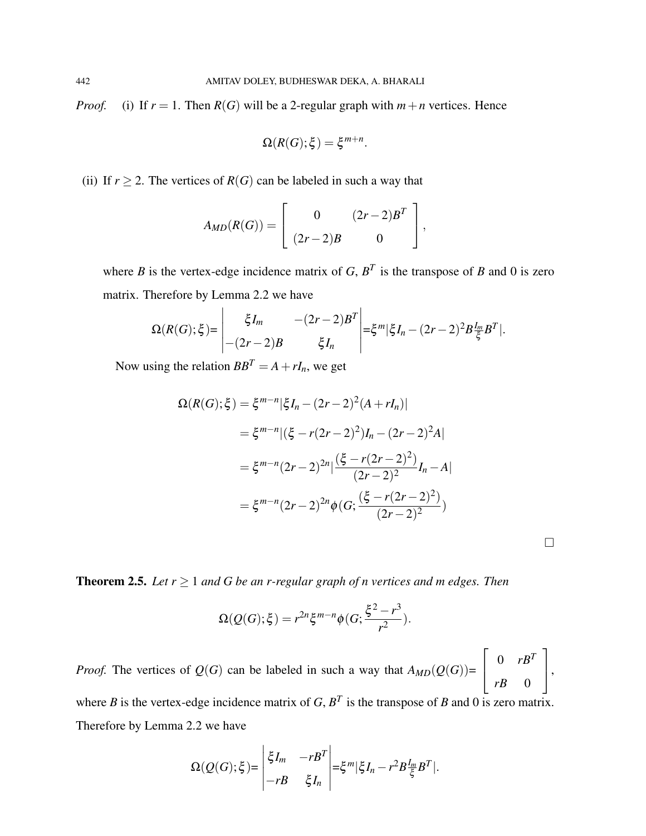*Proof.* (i) If  $r = 1$ . Then  $R(G)$  will be a 2-regular graph with  $m + n$  vertices. Hence

$$
\Omega(R(G); \xi) = \xi^{m+n}.
$$

(ii) If  $r \ge 2$ . The vertices of  $R(G)$  can be labeled in such a way that

$$
A_{MD}(R(G)) = \left[ \begin{array}{cc} 0 & (2r-2)B^T \\ (2r-2)B & 0 \end{array} \right],
$$

where *B* is the vertex-edge incidence matrix of *G*,  $B<sup>T</sup>$  is the transpose of *B* and 0 is zero matrix. Therefore by Lemma 2.2 we have

$$
\Omega(R(G);\xi) = \begin{vmatrix} \xi I_m & -(2r-2)B^T \\ -(2r-2)B & \xi I_n \end{vmatrix} = \xi^m |\xi I_n - (2r-2)^2 B \frac{I_m}{\xi} B^T|.
$$

Now using the relation  $BB^T = A + rI_n$ , we get

$$
\Omega(R(G); \xi) = \xi^{m-n} |\xi I_n - (2r-2)^2 (A + rI_n)|
$$
  
=  $\xi^{m-n} |(\xi - r(2r-2)^2)I_n - (2r-2)^2 A|$   
=  $\xi^{m-n} (2r-2)^{2n} |\frac{(\xi - r(2r-2)^2)}{(2r-2)^2}I_n - A|$   
=  $\xi^{m-n} (2r-2)^{2n} \phi(G; \frac{(\xi - r(2r-2)^2)}{(2r-2)^2})$ 

 $\Box$ 

Theorem 2.5. *Let r* ≥ 1 *and G be an r-regular graph of n vertices and m edges. Then*

$$
\Omega(Q(G); \xi) = r^{2n} \xi^{m-n} \phi(G; \frac{\xi^2 - r^3}{r^2}).
$$

*Proof.* The vertices of  $Q(G)$  can be labeled in such a way that  $A_{MD}(Q(G))$ =  $\sqrt{ }$  $\vert$  $0$   $rB^T$ *rB* 0 1  $\vert \cdot$ where *B* is the vertex-edge incidence matrix of *G*,  $B<sup>T</sup>$  is the transpose of *B* and 0 is zero matrix.

Therefore by Lemma 2.2 we have

$$
\Omega(Q(G); \xi) = \begin{vmatrix} \xi I_m & -rB^T \\ -rB & \xi I_n \end{vmatrix} = \xi^m |\xi I_n - r^2 B \frac{I_m}{\xi} B^T|.
$$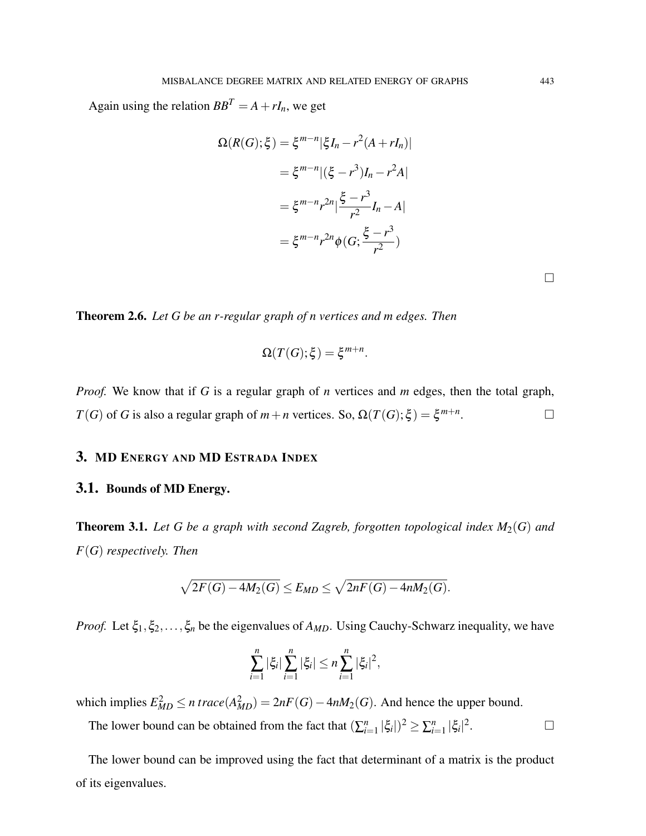Again using the relation  $BB^T = A + rI_n$ , we get

$$
\Omega(R(G); \xi) = \xi^{m-n} |\xi I_n - r^2 (A + r I_n)|
$$
  
=  $\xi^{m-n} |(\xi - r^3) I_n - r^2 A|$   
=  $\xi^{m-n} r^{2n} |\frac{\xi - r^3}{r^2} I_n - A|$   
=  $\xi^{m-n} r^{2n} \phi(G; \frac{\xi - r^3}{r^2})$ 

Theorem 2.6. *Let G be an r-regular graph of n vertices and m edges. Then*

$$
\Omega(T(G); \xi) = \xi^{m+n}.
$$

*Proof.* We know that if *G* is a regular graph of *n* vertices and *m* edges, then the total graph, *T*(*G*) of *G* is also a regular graph of  $m + n$  vertices. So,  $\Omega(T(G); \xi) = \xi^{m+n}$ . — Первый профессиональный стандарт и профессиональный стандарт и профессиональный стандарт и профессиональны<br>В собстановки профессиональный стандарт и профессиональный стандарт и профессиональный стандарт и профессионал

#### 3. MD ENERGY AND MD ESTRADA INDEX

# 3.1. Bounds of MD Energy.

**Theorem 3.1.** Let G be a graph with second Zagreb, forgotten topological index  $M_2(G)$  and *F*(*G*) *respectively. Then*

$$
\sqrt{2F(G)-4M_2(G)} \leq E_{MD} \leq \sqrt{2nF(G)-4nM_2(G)}.
$$

*Proof.* Let  $\xi_1, \xi_2, \ldots, \xi_n$  be the eigenvalues of  $A_{MD}$ . Using Cauchy-Schwarz inequality, we have

$$
\sum_{i=1}^n |\xi_i| \sum_{i=1}^n |\xi_i| \leq n \sum_{i=1}^n |\xi_i|^2,
$$

which implies  $E_{MD}^2 \le n \ trace(A_{MD}^2) = 2nF(G) - 4nM_2(G)$ . And hence the upper bound.

The lower bound can be obtained from the fact that  $(\sum_{i=1}^{n} |\xi_i|)^2 \ge \sum_{i=1}^{n} |\xi_i|^2$ . — Первый проста в сервести в сервести в сервести в сервести в сервести в сервести в сервести в сервести в се<br>В сервести в сервести в сервести в сервести в сервести в сервести в сервести в сервести в сервести в сервести<br>

The lower bound can be improved using the fact that determinant of a matrix is the product of its eigenvalues.

 $\Box$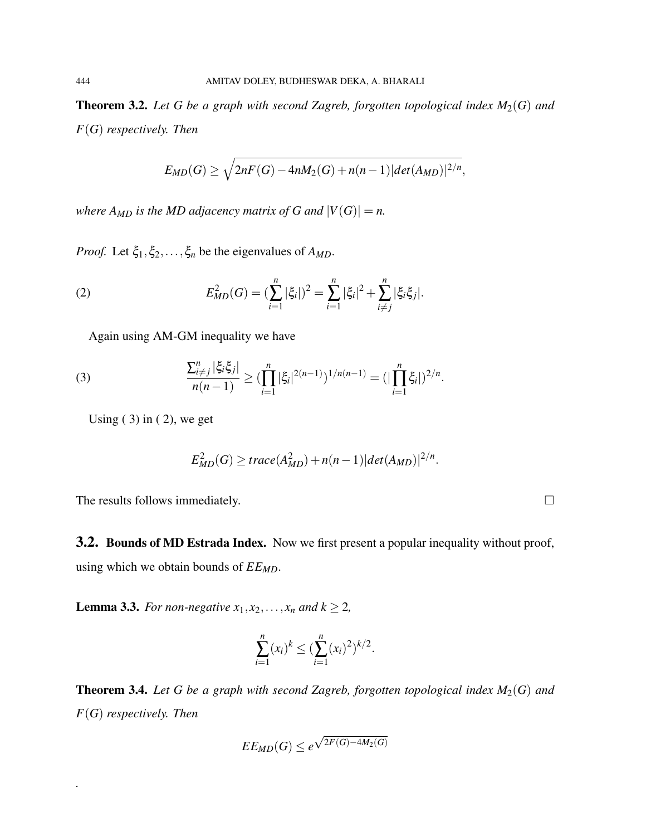Theorem 3.2. *Let G be a graph with second Zagreb, forgotten topological index M*2(*G*) *and F*(*G*) *respectively. Then*

$$
E_{MD}(G) \ge \sqrt{2nF(G) - 4nM_2(G) + n(n-1)|\det(A_{MD})|^{2/n}},
$$

*where*  $A_{MD}$  *is the MD adjacency matrix of G and*  $|V(G)| = n$ .

*Proof.* Let  $\xi_1, \xi_2, \ldots, \xi_n$  be the eigenvalues of  $A_{MD}$ .

(2) 
$$
E_{MD}^2(G) = (\sum_{i=1}^n |\xi_i|)^2 = \sum_{i=1}^n |\xi_i|^2 + \sum_{i \neq j}^n |\xi_i \xi_j|.
$$

Again using AM-GM inequality we have

(3) 
$$
\frac{\sum_{i \neq j}^n |\xi_i \xi_j|}{n(n-1)} \geq (\prod_{i=1}^n |\xi_i|^{2(n-1)})^{1/n(n-1)} = (|\prod_{i=1}^n \xi_i|)^{2/n}.
$$

Using  $(3)$  in  $(2)$ , we get

$$
E_{MD}^2(G) \geq trace(A_{MD}^2) + n(n-1)|det(A_{MD})|^{2/n}.
$$

The results follows immediately.

*.*

3.2. Bounds of MD Estrada Index. Now we first present a popular inequality without proof, using which we obtain bounds of *EEMD*.

**Lemma 3.3.** *For non-negative*  $x_1, x_2, \ldots, x_n$  *and*  $k \ge 2$ *,* 

$$
\sum_{i=1}^n (x_i)^k \leq \left(\sum_{i=1}^n (x_i)^2\right)^{k/2}.
$$

**Theorem 3.4.** Let G be a graph with second Zagreb, forgotten topological index  $M_2(G)$  and *F*(*G*) *respectively. Then*

$$
EE_{MD}(G)\leq e^{\sqrt{2F(G)-4M_2(G)}}
$$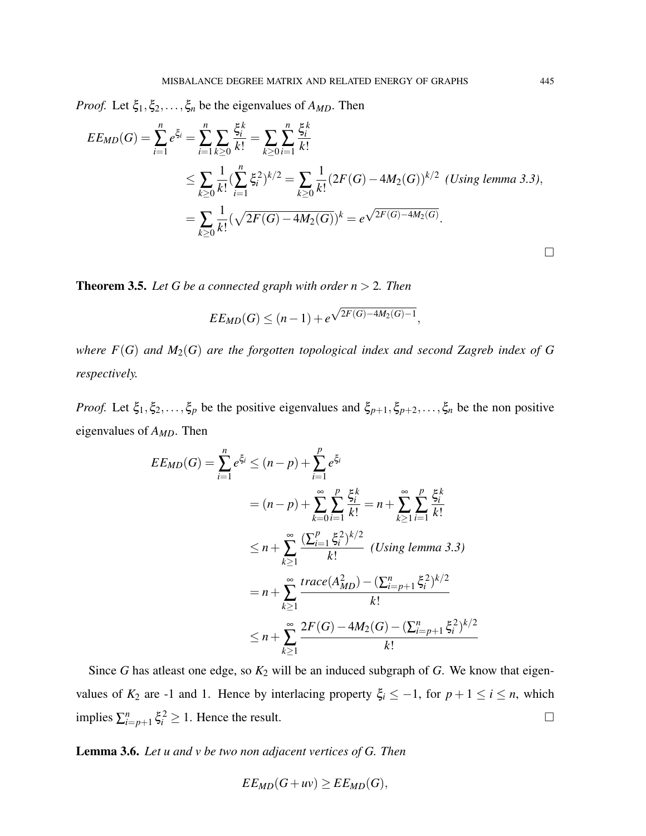*Proof.* Let  $\xi_1, \xi_2, \ldots, \xi_n$  be the eigenvalues of  $A_{MD}$ . Then

$$
EE_{MD}(G) = \sum_{i=1}^{n} e^{\xi_i} = \sum_{i=1}^{n} \sum_{k\geq 0} \frac{\xi_i^k}{k!} = \sum_{k\geq 0} \sum_{i=1}^{n} \frac{\xi_i^k}{k!}
$$
  
\n
$$
\leq \sum_{k\geq 0} \frac{1}{k!} (\sum_{i=1}^{n} \xi_i^2)^{k/2} = \sum_{k\geq 0} \frac{1}{k!} (2F(G) - 4M_2(G))^{k/2} \text{ (Using lemma 3.3),}
$$
  
\n
$$
= \sum_{k\geq 0} \frac{1}{k!} (\sqrt{2F(G) - 4M_2(G)})^k = e^{\sqrt{2F(G) - 4M_2(G)}}.
$$

**Theorem 3.5.** *Let G be a connected graph with order*  $n > 2$ *. Then* 

$$
EE_{MD}(G) \le (n-1) + e^{\sqrt{2F(G) - 4M_2(G) - 1}},
$$

*where F*(*G*) *and M*2(*G*) *are the forgotten topological index and second Zagreb index of G respectively.*

*Proof.* Let  $\xi_1, \xi_2, \ldots, \xi_p$  be the positive eigenvalues and  $\xi_{p+1}, \xi_{p+2}, \ldots, \xi_n$  be the non positive eigenvalues of *AMD*. Then

$$
EE_{MD}(G) = \sum_{i=1}^{n} e^{\xi_i} \le (n-p) + \sum_{i=1}^{p} e^{\xi_i}
$$
  
=  $(n-p) + \sum_{k=0}^{\infty} \sum_{i=1}^{p} \frac{\xi_i^k}{k!} = n + \sum_{k\ge 1}^{\infty} \sum_{i=1}^{p} \frac{\xi_i^k}{k!}$   
 $\le n + \sum_{k\ge 1}^{\infty} \frac{(\sum_{i=1}^{p} \xi_i^2)^{k/2}}{k!}$  (Using lemma 3.3)  
=  $n + \sum_{k\ge 1}^{\infty} \frac{trace(A_{MD}^2) - (\sum_{i=p+1}^{n} \xi_i^2)^{k/2}}{k!}$   
 $\le n + \sum_{k\ge 1}^{\infty} \frac{2F(G) - 4M_2(G) - (\sum_{i=p+1}^{n} \xi_i^2)^{k/2}}{k!}$ 

Since *G* has atleast one edge, so  $K_2$  will be an induced subgraph of *G*. We know that eigenvalues of  $K_2$  are -1 and 1. Hence by interlacing property  $\xi_i \leq -1$ , for  $p + 1 \leq i \leq n$ , which implies  $\sum_{i=p+1}^{n} \xi_i^2 \ge 1$ . Hence the result.

Lemma 3.6. *Let u and v be two non adjacent vertices of G. Then*

$$
EE_{MD}(G+uv) \ge EE_{MD}(G),
$$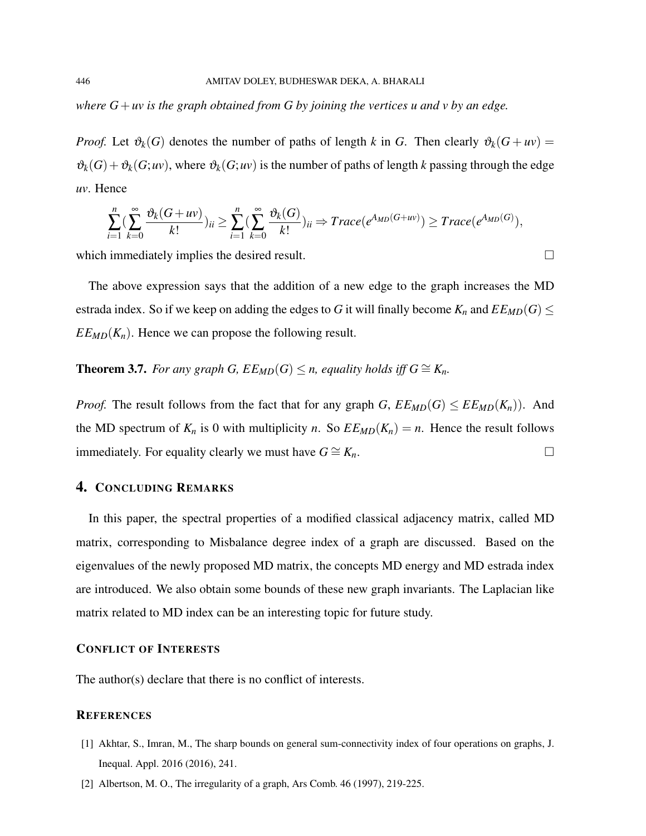*where G*+*uv is the graph obtained from G by joining the vertices u and v by an edge.*

*Proof.* Let  $\vartheta_k(G)$  denotes the number of paths of length *k* in *G*. Then clearly  $\vartheta_k(G + uv) =$  $\vartheta_k(G) + \vartheta_k(G; uv)$ , where  $\vartheta_k(G; uv)$  is the number of paths of length *k* passing through the edge *uv*. Hence

$$
\sum_{i=1}^{n} \left( \sum_{k=0}^{\infty} \frac{\vartheta_k(G+uv)}{k!} \right)_{ii} \ge \sum_{i=1}^{n} \left( \sum_{k=0}^{\infty} \frac{\vartheta_k(G)}{k!} \right)_{ii} \Rightarrow Trace(e^{A_{MD}(G+uv)}) \ge Trace(e^{A_{MD}(G)}),
$$

which immediately implies the desired result.

The above expression says that the addition of a new edge to the graph increases the MD estrada index. So if we keep on adding the edges to *G* it will finally become  $K_n$  and  $EE_{MD}(G) \le$  $EE_{MD}(K_n)$ . Hence we can propose the following result.

**Theorem 3.7.** *For any graph G,*  $EE_{MD}(G) \leq n$ *, equality holds iff*  $G \cong K_n$ *.* 

*Proof.* The result follows from the fact that for any graph *G*,  $E E_{MD}(G) \leq E E_{MD}(K_n)$ . And the MD spectrum of  $K_n$  is 0 with multiplicity *n*. So  $E E_{MD}(K_n) = n$ . Hence the result follows immediately. For equality clearly we must have  $G \cong K_n$ . □

# 4. CONCLUDING REMARKS

In this paper, the spectral properties of a modified classical adjacency matrix, called MD matrix, corresponding to Misbalance degree index of a graph are discussed. Based on the eigenvalues of the newly proposed MD matrix, the concepts MD energy and MD estrada index are introduced. We also obtain some bounds of these new graph invariants. The Laplacian like matrix related to MD index can be an interesting topic for future study.

#### CONFLICT OF INTERESTS

The author(s) declare that there is no conflict of interests.

#### **REFERENCES**

- [1] Akhtar, S., Imran, M., The sharp bounds on general sum-connectivity index of four operations on graphs, J. Inequal. Appl. 2016 (2016), 241.
- [2] Albertson, M. O., The irregularity of a graph, Ars Comb. 46 (1997), 219-225.